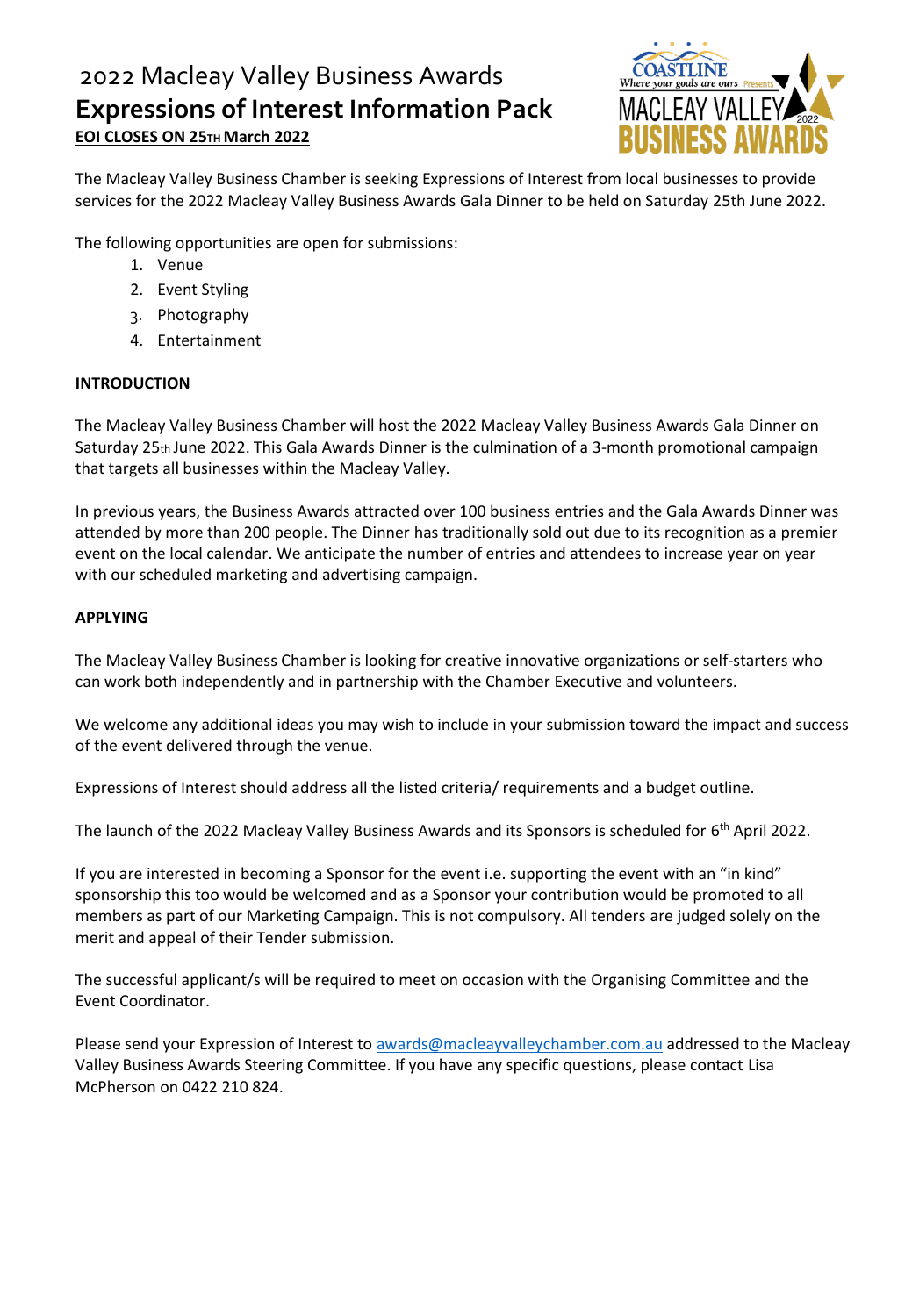# 2022 Macleay Valley Business Awards **Expressions of Interest Information Pack EOI CLOSES ON 25TH March 2022**



The Macleay Valley Business Chamber is seeking Expressions of Interest from local businesses to provide services for the 2022 Macleay Valley Business Awards Gala Dinner to be held on Saturday 25th June 2022.

The following opportunities are open for submissions:

- 1. Venue
- 2. Event Styling
- 3. Photography
- 4. Entertainment

### **INTRODUCTION**

The Macleay Valley Business Chamber will host the 2022 Macleay Valley Business Awards Gala Dinner on Saturday 25th June 2022. This Gala Awards Dinner is the culmination of a 3-month promotional campaign that targets all businesses within the Macleay Valley.

In previous years, the Business Awards attracted over 100 business entries and the Gala Awards Dinner was attended by more than 200 people. The Dinner has traditionally sold out due to its recognition as a premier event on the local calendar. We anticipate the number of entries and attendees to increase year on year with our scheduled marketing and advertising campaign.

### **APPLYING**

The Macleay Valley Business Chamber is looking for creative innovative organizations or self-starters who can work both independently and in partnership with the Chamber Executive and volunteers.

We welcome any additional ideas you may wish to include in your submission toward the impact and success of the event delivered through the venue.

Expressions of Interest should address all the listed criteria/ requirements and a budget outline.

The launch of the 2022 Macleay Valley Business Awards and its Sponsors is scheduled for 6<sup>th</sup> April 2022.

If you are interested in becoming a Sponsor for the event i.e. supporting the event with an "in kind" sponsorship this too would be welcomed and as a Sponsor your contribution would be promoted to all members as part of our Marketing Campaign. This is not compulsory. All tenders are judged solely on the merit and appeal of their Tender submission.

The successful applicant/s will be required to meet on occasion with the Organising Committee and the Event Coordinator.

Please send your Expression of Interest t[o awards@macleayvalleychamber.com.au](mailto:awards@macleayvalleychamber.com.au) addressed to the Macleay Valley Business Awards Steering Committee. If you have any specific questions, please contact Lisa McPherson on 0422 210 824.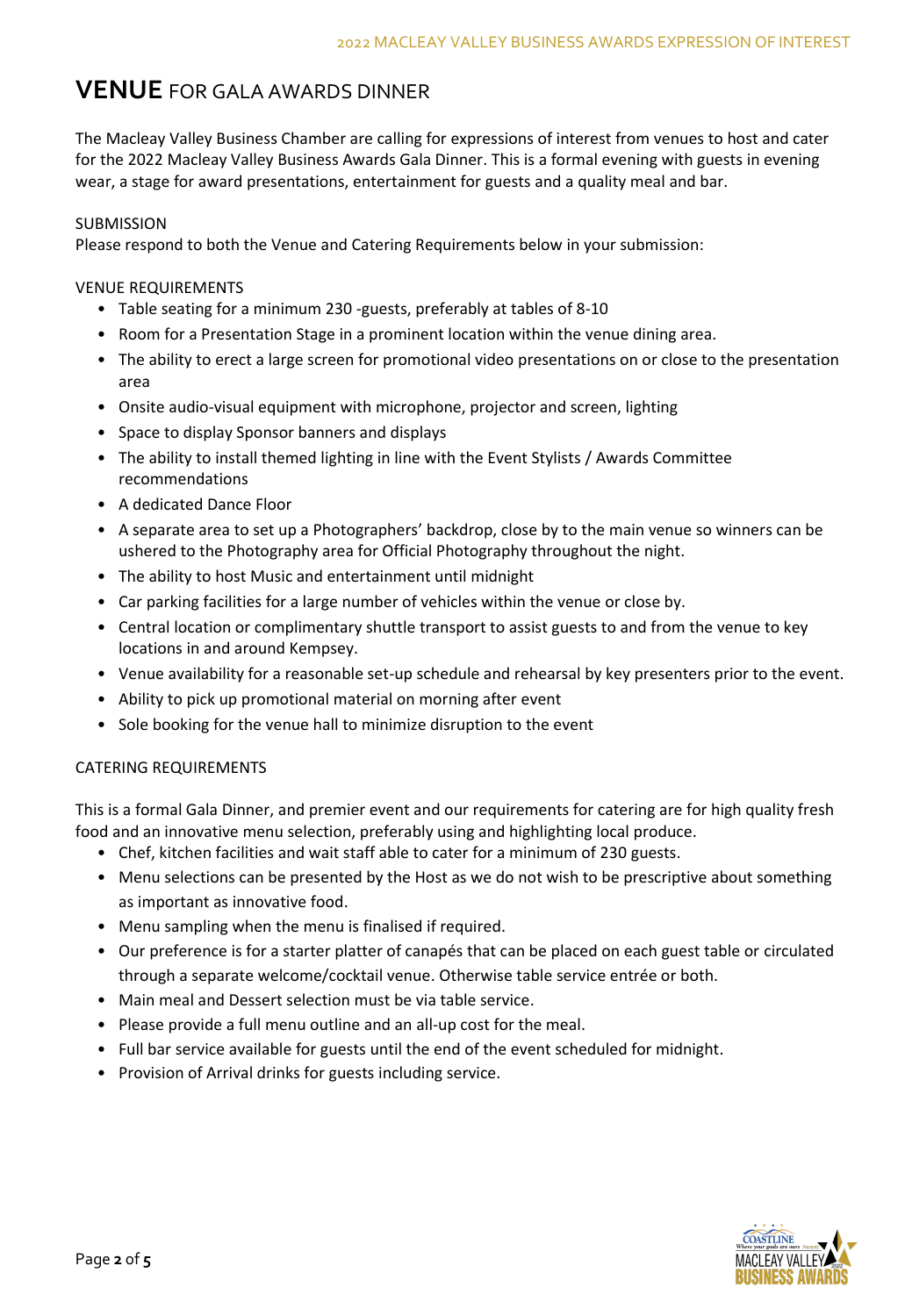# **VENUE** FOR GALA AWARDS DINNER

The Macleay Valley Business Chamber are calling for expressions of interest from venues to host and cater for the 2022 Macleay Valley Business Awards Gala Dinner. This is a formal evening with guests in evening wear, a stage for award presentations, entertainment for guests and a quality meal and bar.

#### SUBMISSION

Please respond to both the Venue and Catering Requirements below in your submission:

### VENUE REQUIREMENTS

- Table seating for a minimum 230 -guests, preferably at tables of 8-10
- Room for a Presentation Stage in a prominent location within the venue dining area.
- The ability to erect a large screen for promotional video presentations on or close to the presentation area
- Onsite audio-visual equipment with microphone, projector and screen, lighting
- Space to display Sponsor banners and displays
- The ability to install themed lighting in line with the Event Stylists / Awards Committee recommendations
- A dedicated Dance Floor
- A separate area to set up a Photographers' backdrop, close by to the main venue so winners can be ushered to the Photography area for Official Photography throughout the night.
- The ability to host Music and entertainment until midnight
- Car parking facilities for a large number of vehicles within the venue or close by.
- Central location or complimentary shuttle transport to assist guests to and from the venue to key locations in and around Kempsey.
- Venue availability for a reasonable set-up schedule and rehearsal by key presenters prior to the event.
- Ability to pick up promotional material on morning after event
- Sole booking for the venue hall to minimize disruption to the event

#### CATERING REQUIREMENTS

This is a formal Gala Dinner, and premier event and our requirements for catering are for high quality fresh food and an innovative menu selection, preferably using and highlighting local produce.

- Chef, kitchen facilities and wait staff able to cater for a minimum of 230 guests.
- Menu selections can be presented by the Host as we do not wish to be prescriptive about something as important as innovative food.
- Menu sampling when the menu is finalised if required.
- Our preference is for a starter platter of canapés that can be placed on each guest table or circulated through a separate welcome/cocktail venue. Otherwise table service entrée or both.
- Main meal and Dessert selection must be via table service.
- Please provide a full menu outline and an all-up cost for the meal.
- Full bar service available for guests until the end of the event scheduled for midnight.
- Provision of Arrival drinks for guests including service.

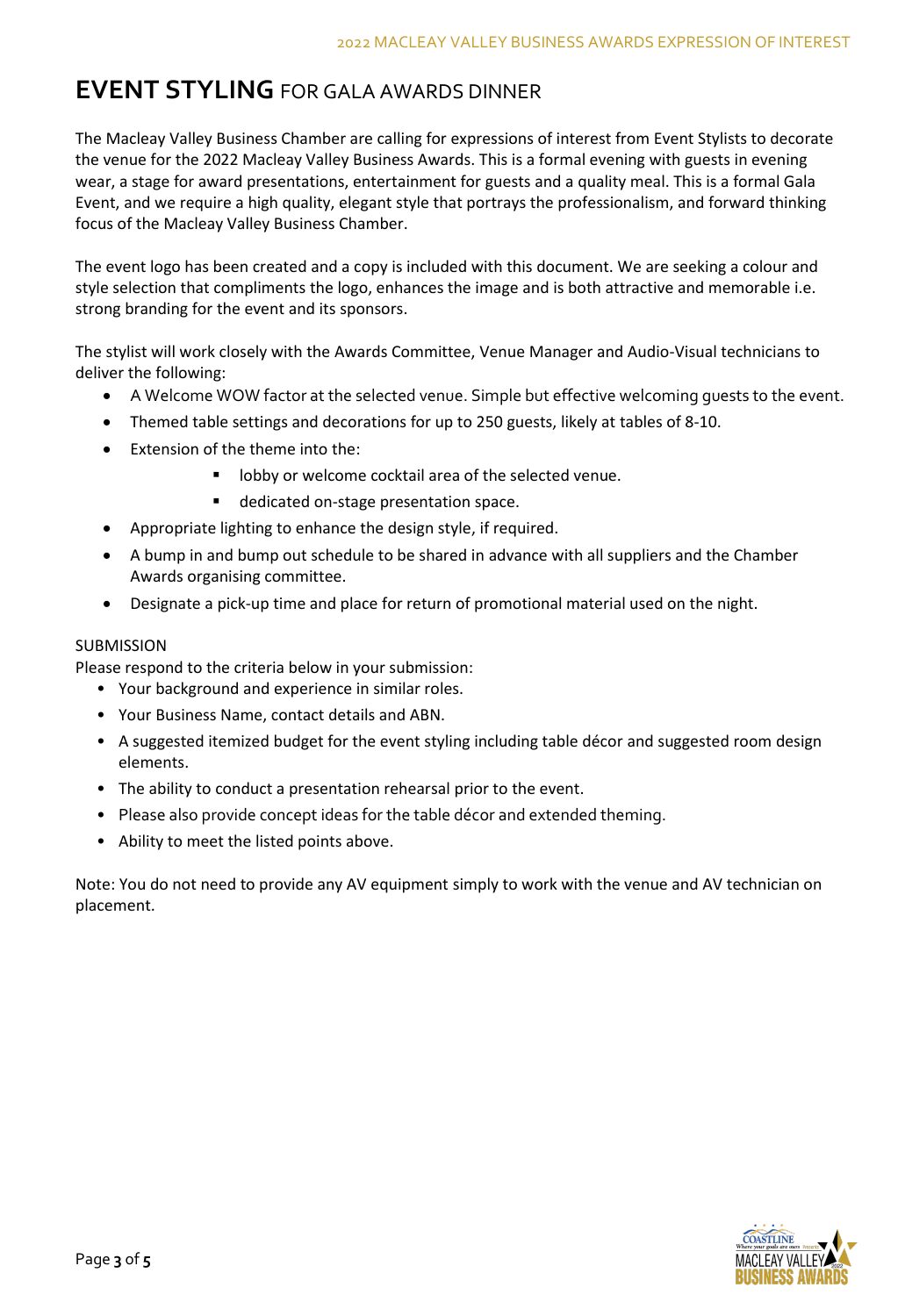# **EVENT STYLING** FOR GALA AWARDS DINNER

The Macleay Valley Business Chamber are calling for expressions of interest from Event Stylists to decorate the venue for the 2022 Macleay Valley Business Awards. This is a formal evening with guests in evening wear, a stage for award presentations, entertainment for guests and a quality meal. This is a formal Gala Event, and we require a high quality, elegant style that portrays the professionalism, and forward thinking focus of the Macleay Valley Business Chamber.

The event logo has been created and a copy is included with this document. We are seeking a colour and style selection that compliments the logo, enhances the image and is both attractive and memorable i.e. strong branding for the event and its sponsors.

The stylist will work closely with the Awards Committee, Venue Manager and Audio-Visual technicians to deliver the following:

- A Welcome WOW factor at the selected venue. Simple but effective welcoming guests to the event.
- Themed table settings and decorations for up to 250 guests, likely at tables of 8-10.
- Extension of the theme into the:
	- lobby or welcome cocktail area of the selected venue.
	- dedicated on-stage presentation space.
- Appropriate lighting to enhance the design style, if required.
- A bump in and bump out schedule to be shared in advance with all suppliers and the Chamber Awards organising committee.
- Designate a pick-up time and place for return of promotional material used on the night.

### SUBMISSION

Please respond to the criteria below in your submission:

- Your background and experience in similar roles.
- Your Business Name, contact details and ABN.
- A suggested itemized budget for the event styling including table décor and suggested room design elements.
- The ability to conduct a presentation rehearsal prior to the event.
- Please also provide concept ideas for the table décor and extended theming.
- Ability to meet the listed points above.

Note: You do not need to provide any AV equipment simply to work with the venue and AV technician on placement.

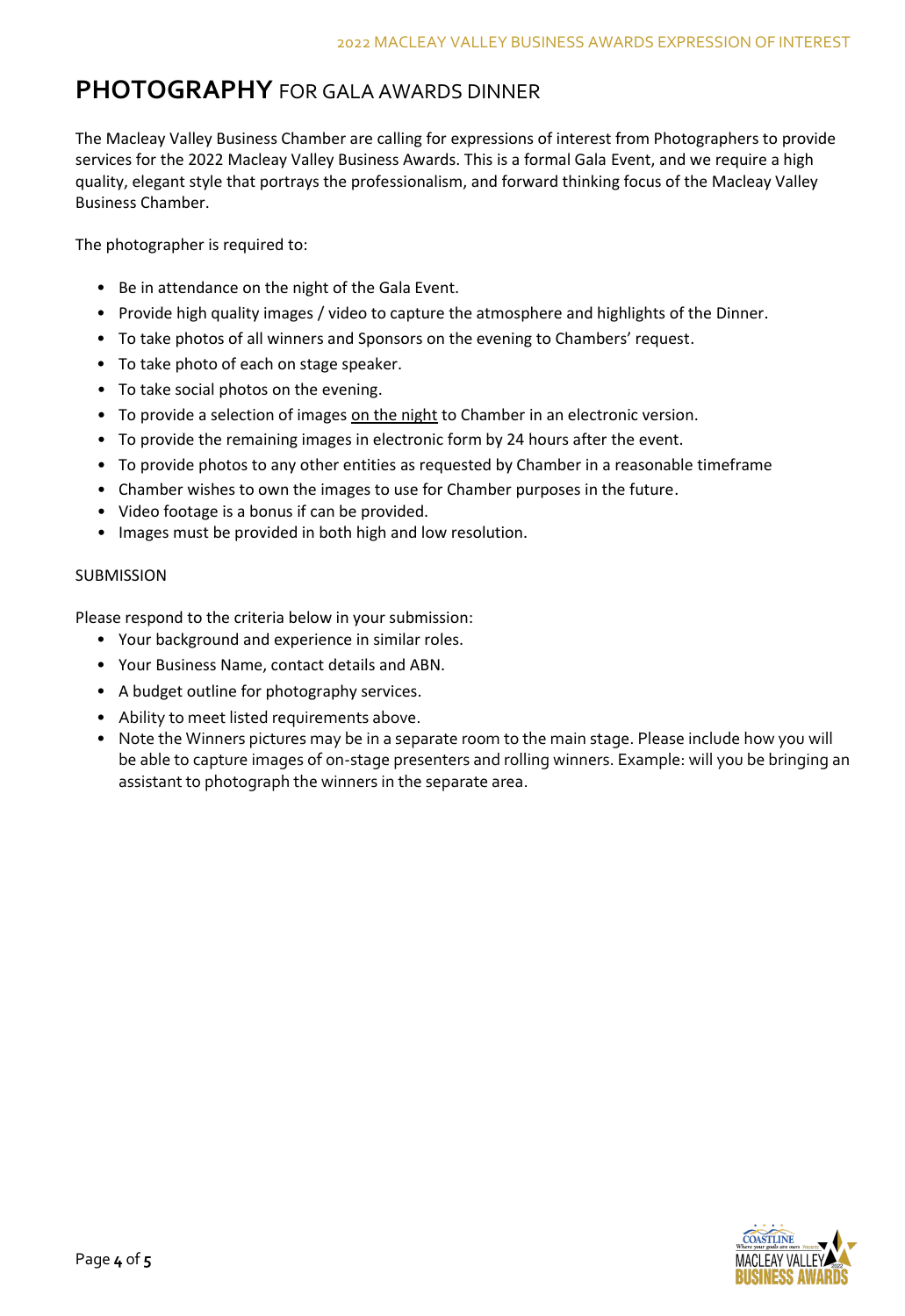# **PHOTOGRAPHY** FOR GALA AWARDS DINNER

The Macleay Valley Business Chamber are calling for expressions of interest from Photographers to provide services for the 2022 Macleay Valley Business Awards. This is a formal Gala Event, and we require a high quality, elegant style that portrays the professionalism, and forward thinking focus of the Macleay Valley Business Chamber.

The photographer is required to:

- Be in attendance on the night of the Gala Event.
- Provide high quality images / video to capture the atmosphere and highlights of the Dinner.
- To take photos of all winners and Sponsors on the evening to Chambers' request.
- To take photo of each on stage speaker.
- To take social photos on the evening.
- To provide a selection of images on the night to Chamber in an electronic version.
- To provide the remaining images in electronic form by 24 hours after the event.
- To provide photos to any other entities as requested by Chamber in a reasonable timeframe
- Chamber wishes to own the images to use for Chamber purposes in the future.
- Video footage is a bonus if can be provided.
- Images must be provided in both high and low resolution.

### **SUBMISSION**

Please respond to the criteria below in your submission:

- Your background and experience in similar roles.
- Your Business Name, contact details and ABN.
- A budget outline for photography services.
- Ability to meet listed requirements above.
- Note the Winners pictures may be in a separate room to the main stage. Please include how you will be able to capture images of on-stage presenters and rolling winners. Example: will you be bringing an assistant to photograph the winners in the separate area.